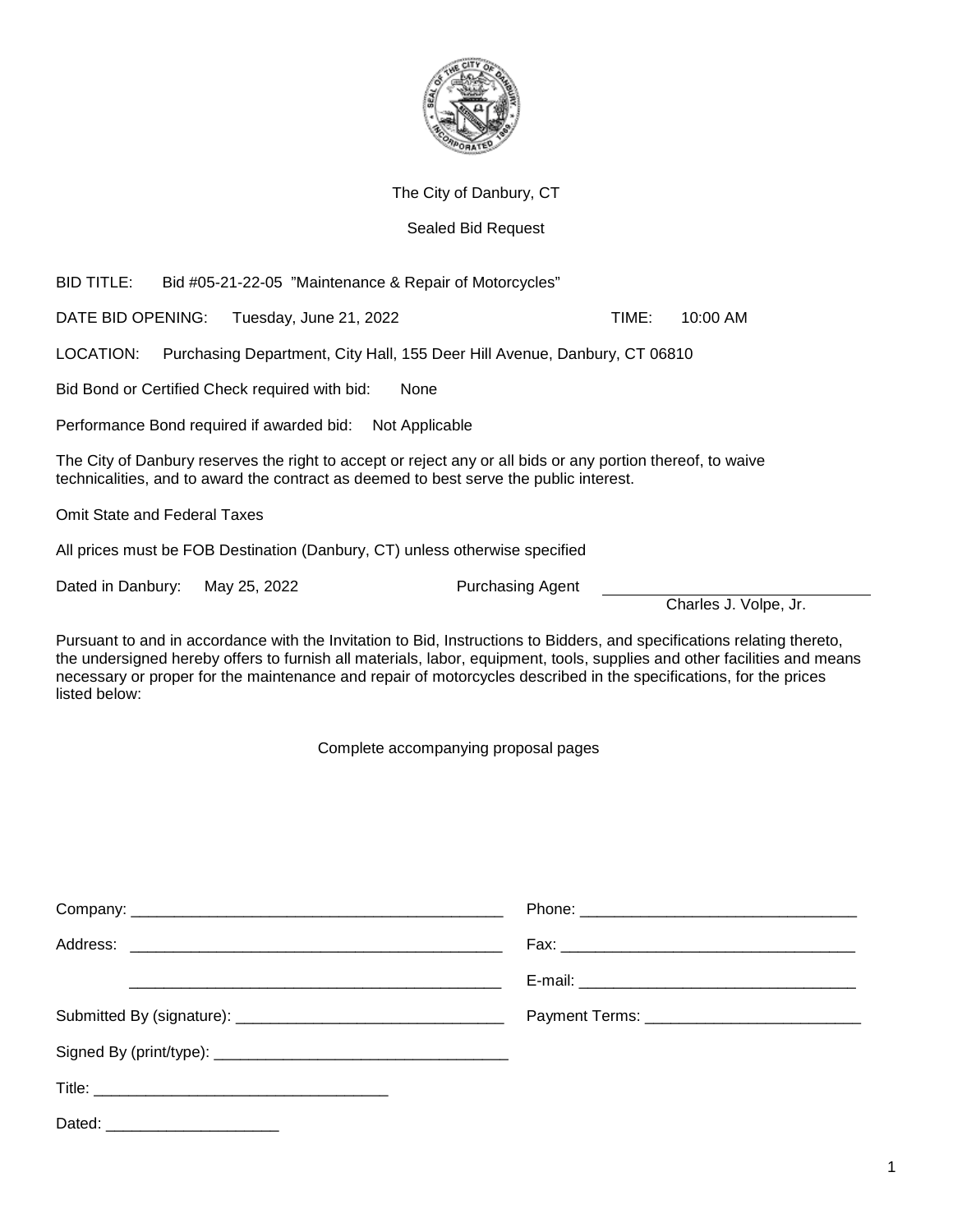

## The City of Danbury, CT

## Sealed Bid Request

BID TITLE: Bid #05-21-22-05 "Maintenance & Repair of Motorcycles"

DATE BID OPENING: Tuesday, June 21, 2022 TIME: 10:00 AM

LOCATION: Purchasing Department, City Hall, 155 Deer Hill Avenue, Danbury, CT 06810

Bid Bond or Certified Check required with bid: None

Performance Bond required if awarded bid: Not Applicable

The City of Danbury reserves the right to accept or reject any or all bids or any portion thereof, to waive technicalities, and to award the contract as deemed to best serve the public interest.

Omit State and Federal Taxes

All prices must be FOB Destination (Danbury, CT) unless otherwise specified

Dated in Danbury: May 25, 2022 Purchasing Agent

Charles J. Volpe, Jr.

Pursuant to and in accordance with the Invitation to Bid, Instructions to Bidders, and specifications relating thereto, the undersigned hereby offers to furnish all materials, labor, equipment, tools, supplies and other facilities and means necessary or proper for the maintenance and repair of motorcycles described in the specifications, for the prices listed below:

Complete accompanying proposal pages

| Dated: |  |
|--------|--|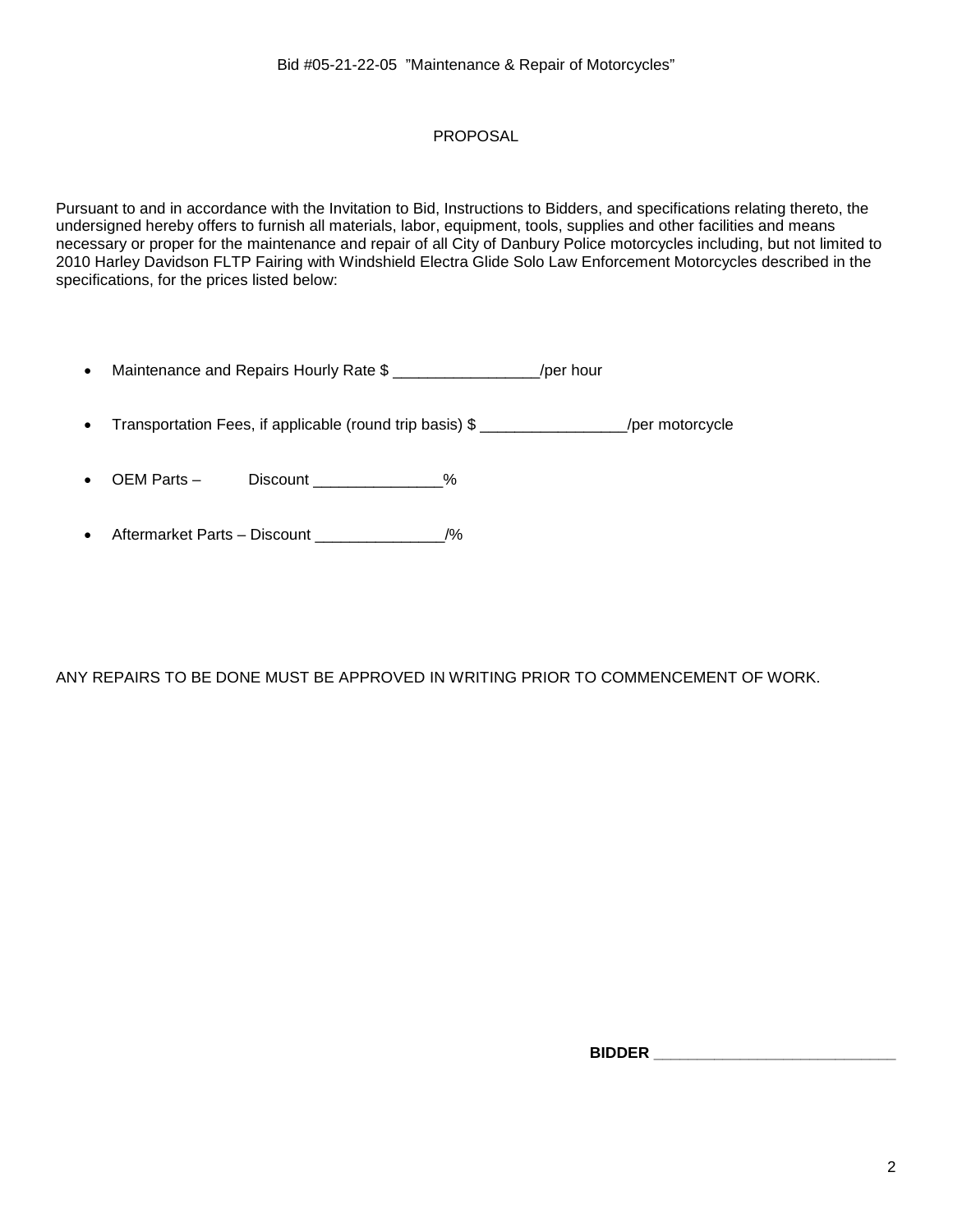# PROPOSAL

Pursuant to and in accordance with the Invitation to Bid, Instructions to Bidders, and specifications relating thereto, the undersigned hereby offers to furnish all materials, labor, equipment, tools, supplies and other facilities and means necessary or proper for the maintenance and repair of all City of Danbury Police motorcycles including, but not limited to 2010 Harley Davidson FLTP Fairing with Windshield Electra Glide Solo Law Enforcement Motorcycles described in the specifications, for the prices listed below:

| Maintenance and Repairs Hourly Rate \$ | /per hour |
|----------------------------------------|-----------|
|                                        |           |

• Transportation Fees, if applicable (round trip basis) \$ \_\_\_\_\_\_\_\_\_\_\_\_\_\_\_\_\_\_\_\_/per motorcycle

OEM Parts – Discount \_\_\_\_\_\_\_\_\_\_\_\_\_\_%

Aftermarket Parts – Discount \_\_\_\_\_\_\_\_\_\_\_\_\_\_\_/%

ANY REPAIRS TO BE DONE MUST BE APPROVED IN WRITING PRIOR TO COMMENCEMENT OF WORK.

 **BIDDER \_\_\_\_\_\_\_\_\_\_\_\_\_\_\_\_\_\_\_\_\_\_\_\_\_\_\_\_**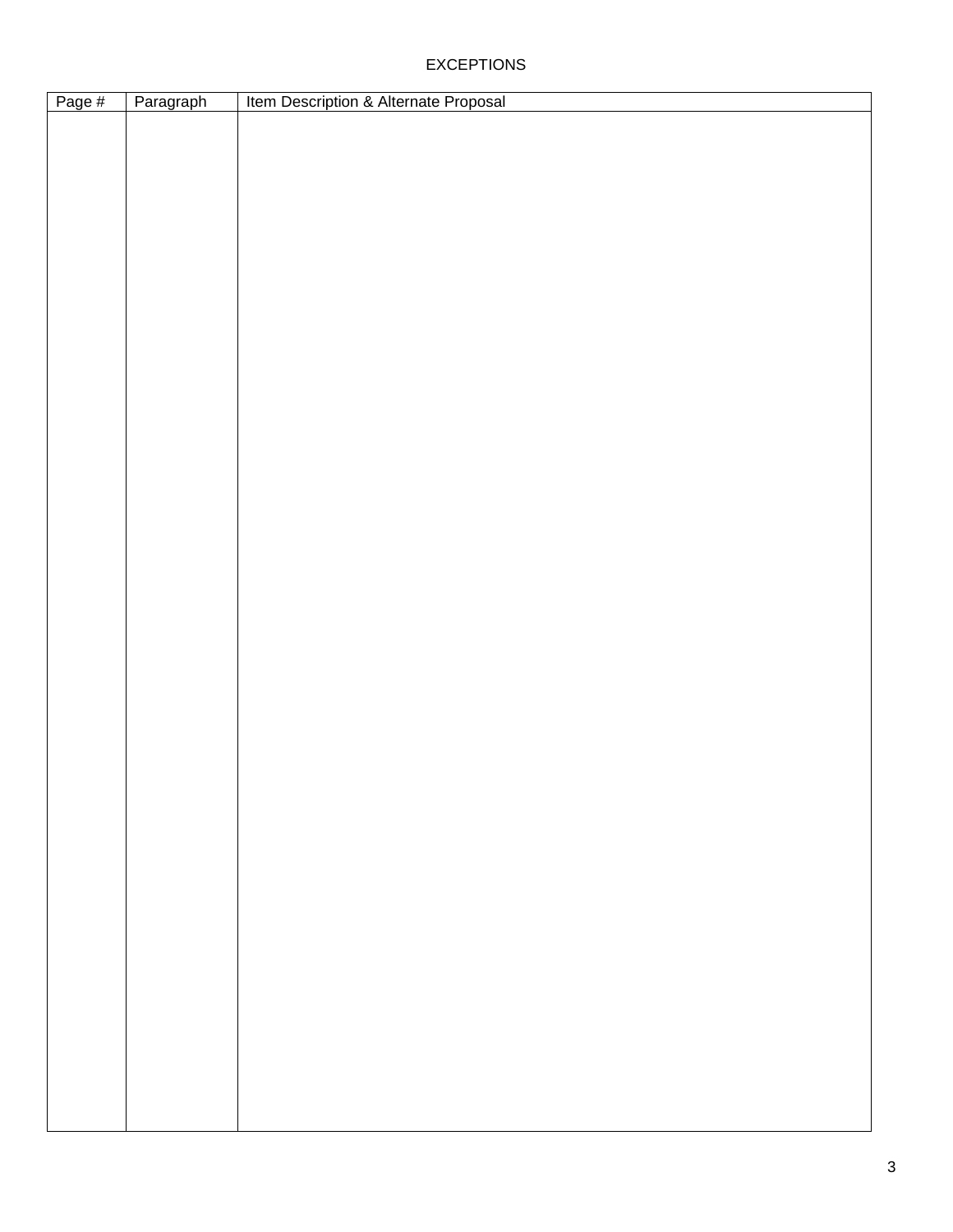## EXCEPTIONS

| Page # | Paragraph | Item Description & Alternate Proposal |
|--------|-----------|---------------------------------------|
|        |           |                                       |
|        |           |                                       |
|        |           |                                       |
|        |           |                                       |
|        |           |                                       |
|        |           |                                       |
|        |           |                                       |
|        |           |                                       |
|        |           |                                       |
|        |           |                                       |
|        |           |                                       |
|        |           |                                       |
|        |           |                                       |
|        |           |                                       |
|        |           |                                       |
|        |           |                                       |
|        |           |                                       |
|        |           |                                       |
|        |           |                                       |
|        |           |                                       |
|        |           |                                       |
|        |           |                                       |
|        |           |                                       |
|        |           |                                       |
|        |           |                                       |
|        |           |                                       |
|        |           |                                       |
|        |           |                                       |
|        |           |                                       |
|        |           |                                       |
|        |           |                                       |
|        |           |                                       |
|        |           |                                       |
|        |           |                                       |
|        |           |                                       |
|        |           |                                       |
|        |           |                                       |
|        |           |                                       |
|        |           |                                       |
|        |           |                                       |
|        |           |                                       |
|        |           |                                       |
|        |           |                                       |
|        |           |                                       |
|        |           |                                       |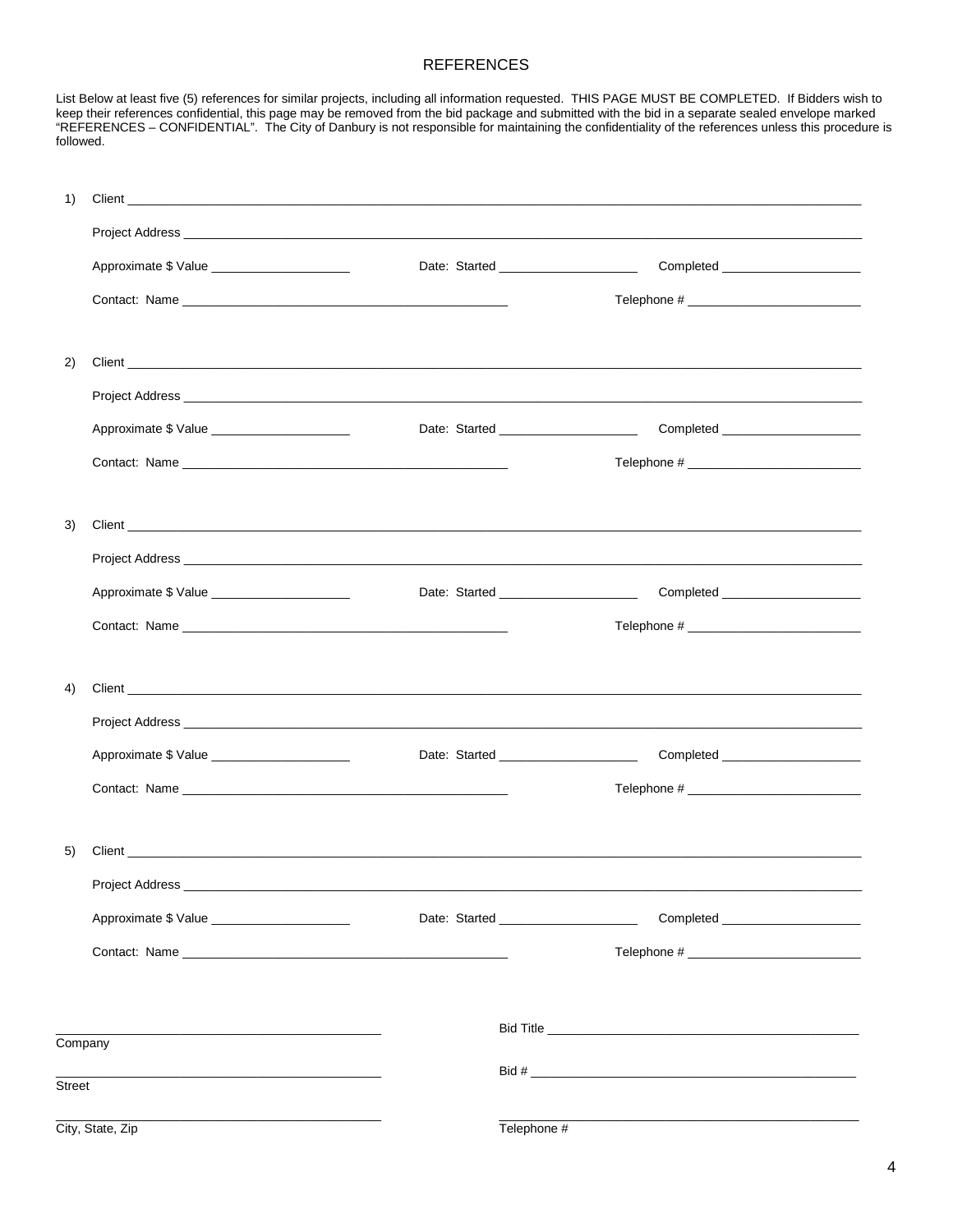## **REFERENCES**

List Below at least five (5) references for similar projects, including all information requested. THIS PAGE MUST BE COMPLETED. If Bidders wish to keep their references confidential, this page may be removed from the bid package and submitted with the bid in a separate sealed envelope marked<br>"REFERENCES – CONFIDENTIAL". The City of Danbury is not responsible for main followed.

| 1)      |                                                                                                                                  |  |                                         |                                   |
|---------|----------------------------------------------------------------------------------------------------------------------------------|--|-----------------------------------------|-----------------------------------|
|         |                                                                                                                                  |  |                                         |                                   |
|         | Approximate \$ Value ________________________                                                                                    |  | Date: Started _______________________   | Completed _____________________   |
|         |                                                                                                                                  |  |                                         |                                   |
|         |                                                                                                                                  |  |                                         |                                   |
| 2)      | Client <b>Contract of the Client</b> Contract of the Client Contract of the Client Contract of the Client Contract of the Client |  |                                         |                                   |
|         |                                                                                                                                  |  |                                         |                                   |
|         | Approximate \$ Value _______________________                                                                                     |  |                                         | Completed _____________________   |
|         |                                                                                                                                  |  |                                         |                                   |
|         |                                                                                                                                  |  |                                         |                                   |
| 3)      |                                                                                                                                  |  |                                         |                                   |
|         |                                                                                                                                  |  |                                         |                                   |
|         | Approximate \$ Value ______________________                                                                                      |  | Date: Started _________________________ | Completed _______________________ |
|         |                                                                                                                                  |  |                                         |                                   |
|         |                                                                                                                                  |  |                                         |                                   |
| 4)      |                                                                                                                                  |  |                                         |                                   |
|         |                                                                                                                                  |  |                                         |                                   |
|         | Approximate \$ Value ________________________                                                                                    |  | Date: Started ________________________  |                                   |
|         |                                                                                                                                  |  |                                         |                                   |
|         |                                                                                                                                  |  |                                         |                                   |
| 5)      |                                                                                                                                  |  |                                         |                                   |
|         |                                                                                                                                  |  |                                         |                                   |
|         |                                                                                                                                  |  | Date: Started _______________________   |                                   |
|         |                                                                                                                                  |  |                                         |                                   |
|         |                                                                                                                                  |  |                                         |                                   |
|         |                                                                                                                                  |  |                                         |                                   |
| Company |                                                                                                                                  |  |                                         |                                   |
| Street  | the control of the control of the control of the control of the control of the control of                                        |  |                                         |                                   |
|         | City, State, Zip                                                                                                                 |  | Telephone #                             |                                   |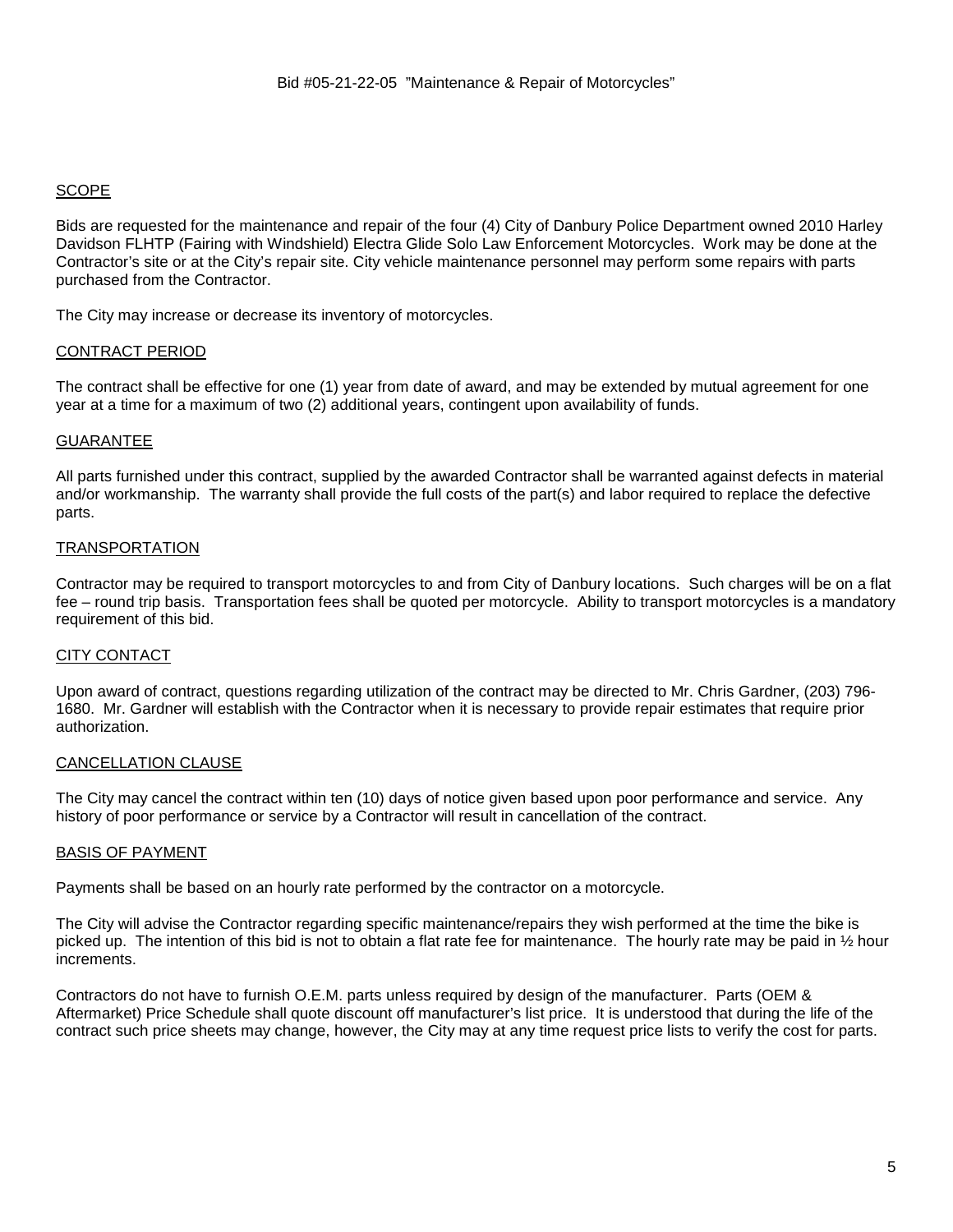## **SCOPE**

Bids are requested for the maintenance and repair of the four (4) City of Danbury Police Department owned 2010 Harley Davidson FLHTP (Fairing with Windshield) Electra Glide Solo Law Enforcement Motorcycles. Work may be done at the Contractor's site or at the City's repair site. City vehicle maintenance personnel may perform some repairs with parts purchased from the Contractor.

The City may increase or decrease its inventory of motorcycles.

## CONTRACT PERIOD

The contract shall be effective for one (1) year from date of award, and may be extended by mutual agreement for one year at a time for a maximum of two (2) additional years, contingent upon availability of funds.

## GUARANTEE

All parts furnished under this contract, supplied by the awarded Contractor shall be warranted against defects in material and/or workmanship. The warranty shall provide the full costs of the part(s) and labor required to replace the defective parts.

## TRANSPORTATION

Contractor may be required to transport motorcycles to and from City of Danbury locations. Such charges will be on a flat fee – round trip basis. Transportation fees shall be quoted per motorcycle. Ability to transport motorcycles is a mandatory requirement of this bid.

## CITY CONTACT

Upon award of contract, questions regarding utilization of the contract may be directed to Mr. Chris Gardner, (203) 796- 1680. Mr. Gardner will establish with the Contractor when it is necessary to provide repair estimates that require prior authorization.

## CANCELLATION CLAUSE

The City may cancel the contract within ten (10) days of notice given based upon poor performance and service. Any history of poor performance or service by a Contractor will result in cancellation of the contract.

## BASIS OF PAYMENT

Payments shall be based on an hourly rate performed by the contractor on a motorcycle.

The City will advise the Contractor regarding specific maintenance/repairs they wish performed at the time the bike is picked up. The intention of this bid is not to obtain a flat rate fee for maintenance. The hourly rate may be paid in ½ hour increments.

Contractors do not have to furnish O.E.M. parts unless required by design of the manufacturer. Parts (OEM & Aftermarket) Price Schedule shall quote discount off manufacturer's list price. It is understood that during the life of the contract such price sheets may change, however, the City may at any time request price lists to verify the cost for parts.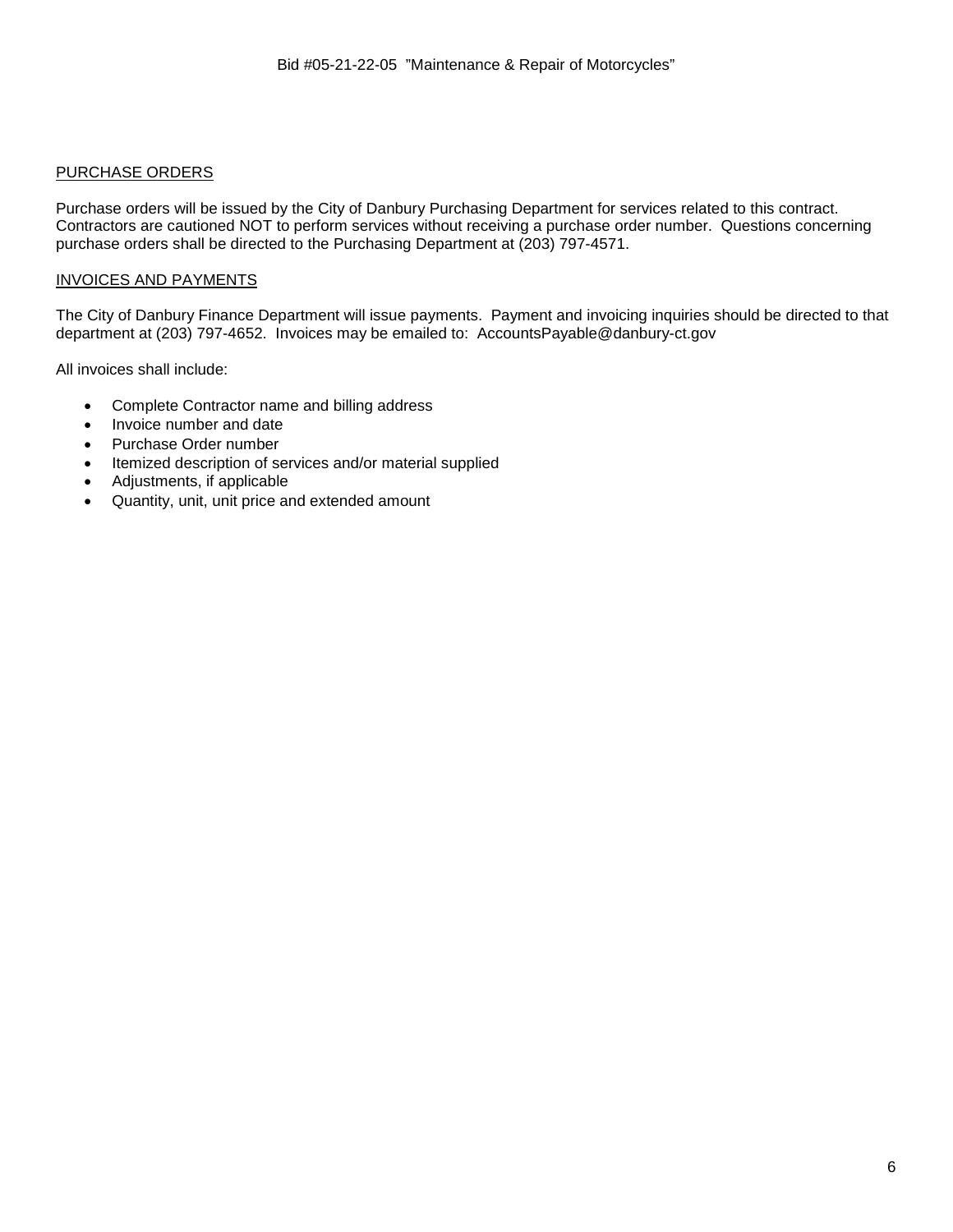## PURCHASE ORDERS

Purchase orders will be issued by the City of Danbury Purchasing Department for services related to this contract. Contractors are cautioned NOT to perform services without receiving a purchase order number. Questions concerning purchase orders shall be directed to the Purchasing Department at (203) 797-4571.

## INVOICES AND PAYMENTS

The City of Danbury Finance Department will issue payments. Payment and invoicing inquiries should be directed to that department at (203) 797-4652. Invoices may be emailed to: AccountsPayable@danbury-ct.gov

All invoices shall include:

- Complete Contractor name and billing address
- Invoice number and date
- Purchase Order number
- Itemized description of services and/or material supplied
- Adjustments, if applicable
- Quantity, unit, unit price and extended amount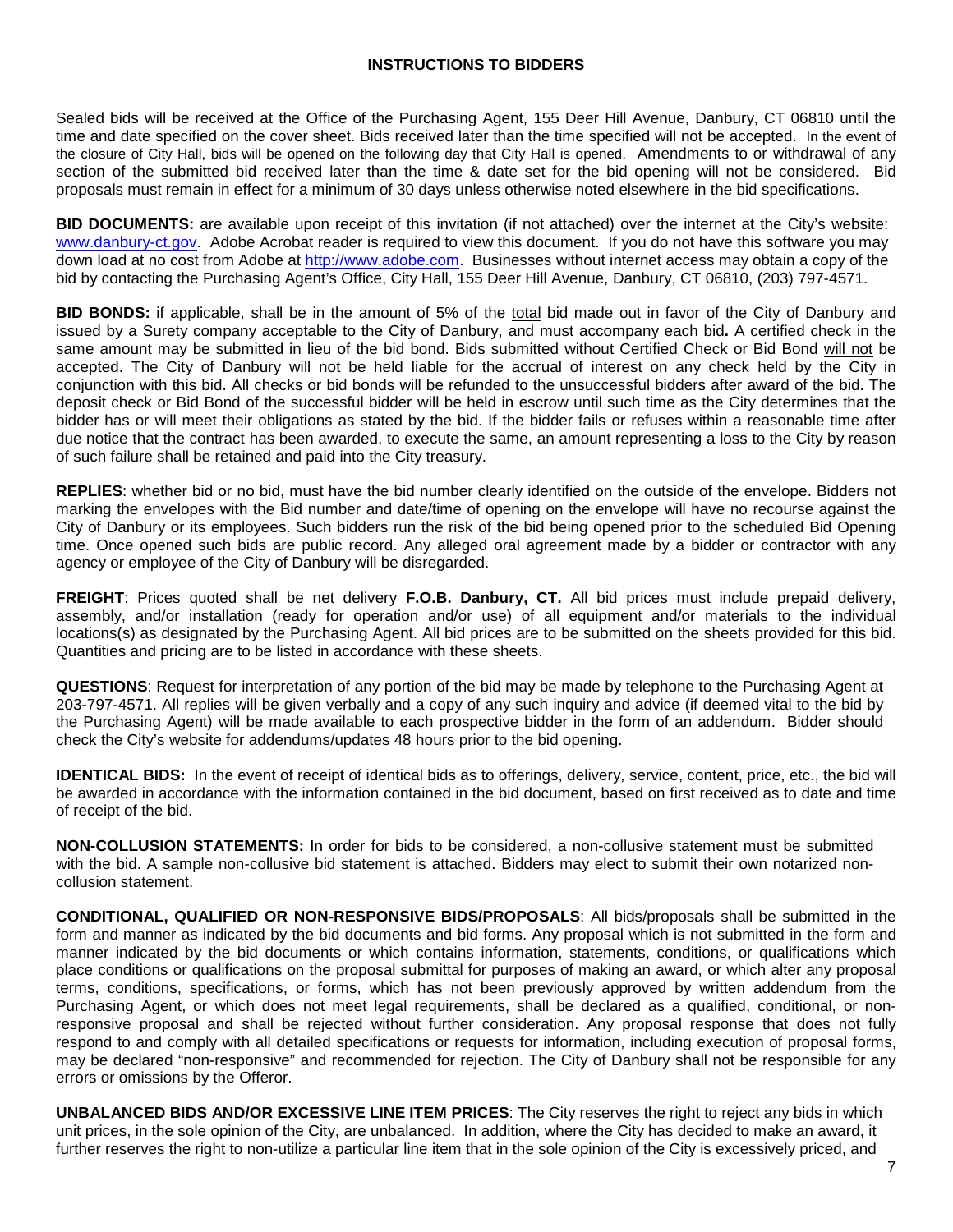## **INSTRUCTIONS TO BIDDERS**

Sealed bids will be received at the Office of the Purchasing Agent, 155 Deer Hill Avenue, Danbury, CT 06810 until the time and date specified on the cover sheet. Bids received later than the time specified will not be accepted. In the event of the closure of City Hall, bids will be opened on the following day that City Hall is opened. Amendments to or withdrawal of any section of the submitted bid received later than the time & date set for the bid opening will not be considered. Bid proposals must remain in effect for a minimum of 30 days unless otherwise noted elsewhere in the bid specifications.

**BID DOCUMENTS:** are available upon receipt of this invitation (if not attached) over the internet at the City's website: www.danbury-ct.gov. Adobe Acrobat reader is required to view this document. If you do not have this software you may down load at no cost from Adobe at http://www.adobe.com. Businesses without internet access may obtain a copy of the bid by contacting the Purchasing Agent's Office, City Hall, 155 Deer Hill Avenue, Danbury, CT 06810, (203) 797-4571.

**BID BONDS:** if applicable, shall be in the amount of 5% of the total bid made out in favor of the City of Danbury and issued by a Surety company acceptable to the City of Danbury, and must accompany each bid**.** A certified check in the same amount may be submitted in lieu of the bid bond. Bids submitted without Certified Check or Bid Bond will not be accepted. The City of Danbury will not be held liable for the accrual of interest on any check held by the City in conjunction with this bid. All checks or bid bonds will be refunded to the unsuccessful bidders after award of the bid. The deposit check or Bid Bond of the successful bidder will be held in escrow until such time as the City determines that the bidder has or will meet their obligations as stated by the bid. If the bidder fails or refuses within a reasonable time after due notice that the contract has been awarded, to execute the same, an amount representing a loss to the City by reason of such failure shall be retained and paid into the City treasury.

**REPLIES**: whether bid or no bid, must have the bid number clearly identified on the outside of the envelope. Bidders not marking the envelopes with the Bid number and date/time of opening on the envelope will have no recourse against the City of Danbury or its employees. Such bidders run the risk of the bid being opened prior to the scheduled Bid Opening time. Once opened such bids are public record. Any alleged oral agreement made by a bidder or contractor with any agency or employee of the City of Danbury will be disregarded.

**FREIGHT**: Prices quoted shall be net delivery **F.O.B. Danbury, CT.** All bid prices must include prepaid delivery, assembly, and/or installation (ready for operation and/or use) of all equipment and/or materials to the individual locations(s) as designated by the Purchasing Agent. All bid prices are to be submitted on the sheets provided for this bid. Quantities and pricing are to be listed in accordance with these sheets.

**QUESTIONS**: Request for interpretation of any portion of the bid may be made by telephone to the Purchasing Agent at 203-797-4571. All replies will be given verbally and a copy of any such inquiry and advice (if deemed vital to the bid by the Purchasing Agent) will be made available to each prospective bidder in the form of an addendum. Bidder should check the City's website for addendums/updates 48 hours prior to the bid opening.

**IDENTICAL BIDS:** In the event of receipt of identical bids as to offerings, delivery, service, content, price, etc., the bid will be awarded in accordance with the information contained in the bid document, based on first received as to date and time of receipt of the bid.

**NON-COLLUSION STATEMENTS:** In order for bids to be considered, a non-collusive statement must be submitted with the bid. A sample non-collusive bid statement is attached. Bidders may elect to submit their own notarized noncollusion statement.

**CONDITIONAL, QUALIFIED OR NON-RESPONSIVE BIDS/PROPOSALS**: All bids/proposals shall be submitted in the form and manner as indicated by the bid documents and bid forms. Any proposal which is not submitted in the form and manner indicated by the bid documents or which contains information, statements, conditions, or qualifications which place conditions or qualifications on the proposal submittal for purposes of making an award, or which alter any proposal terms, conditions, specifications, or forms, which has not been previously approved by written addendum from the Purchasing Agent, or which does not meet legal requirements, shall be declared as a qualified, conditional, or nonresponsive proposal and shall be rejected without further consideration. Any proposal response that does not fully respond to and comply with all detailed specifications or requests for information, including execution of proposal forms, may be declared "non-responsive" and recommended for rejection. The City of Danbury shall not be responsible for any errors or omissions by the Offeror.

**UNBALANCED BIDS AND/OR EXCESSIVE LINE ITEM PRICES**: The City reserves the right to reject any bids in which unit prices, in the sole opinion of the City, are unbalanced. In addition, where the City has decided to make an award, it further reserves the right to non-utilize a particular line item that in the sole opinion of the City is excessively priced, and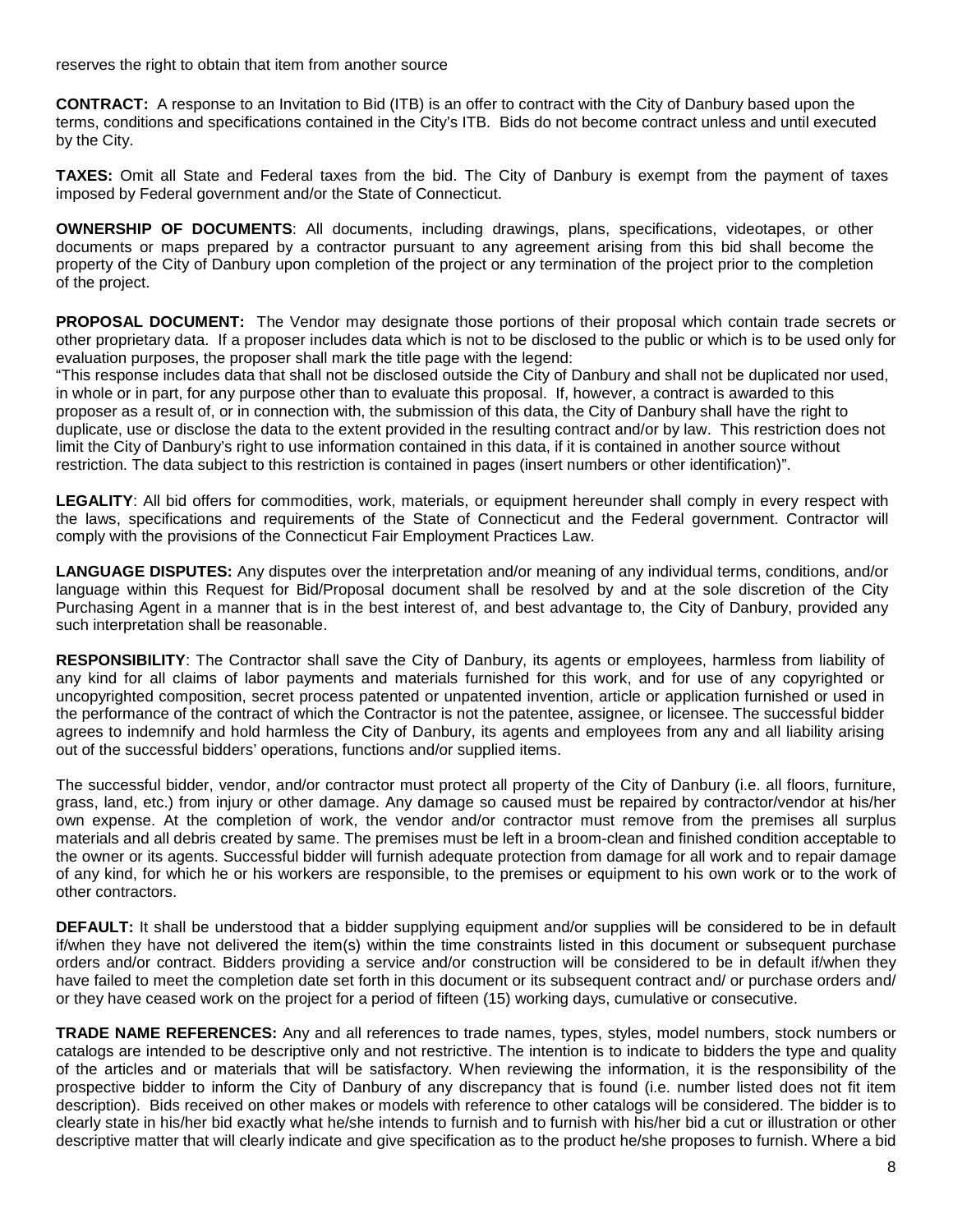reserves the right to obtain that item from another source

**CONTRACT:** A response to an Invitation to Bid (ITB) is an offer to contract with the City of Danbury based upon the terms, conditions and specifications contained in the City's ITB. Bids do not become contract unless and until executed by the City.

**TAXES:** Omit all State and Federal taxes from the bid. The City of Danbury is exempt from the payment of taxes imposed by Federal government and/or the State of Connecticut.

**OWNERSHIP OF DOCUMENTS**: All documents, including drawings, plans, specifications, videotapes, or other documents or maps prepared by a contractor pursuant to any agreement arising from this bid shall become the property of the City of Danbury upon completion of the project or any termination of the project prior to the completion of the project.

**PROPOSAL DOCUMENT:** The Vendor may designate those portions of their proposal which contain trade secrets or other proprietary data. If a proposer includes data which is not to be disclosed to the public or which is to be used only for evaluation purposes, the proposer shall mark the title page with the legend:

"This response includes data that shall not be disclosed outside the City of Danbury and shall not be duplicated nor used, in whole or in part, for any purpose other than to evaluate this proposal. If, however, a contract is awarded to this proposer as a result of, or in connection with, the submission of this data, the City of Danbury shall have the right to duplicate, use or disclose the data to the extent provided in the resulting contract and/or by law. This restriction does not limit the City of Danbury's right to use information contained in this data, if it is contained in another source without restriction. The data subject to this restriction is contained in pages (insert numbers or other identification)".

**LEGALITY**: All bid offers for commodities, work, materials, or equipment hereunder shall comply in every respect with the laws, specifications and requirements of the State of Connecticut and the Federal government. Contractor will comply with the provisions of the Connecticut Fair Employment Practices Law.

**LANGUAGE DISPUTES:** Any disputes over the interpretation and/or meaning of any individual terms, conditions, and/or language within this Request for Bid/Proposal document shall be resolved by and at the sole discretion of the City Purchasing Agent in a manner that is in the best interest of, and best advantage to, the City of Danbury, provided any such interpretation shall be reasonable.

**RESPONSIBILITY**: The Contractor shall save the City of Danbury, its agents or employees, harmless from liability of any kind for all claims of labor payments and materials furnished for this work, and for use of any copyrighted or uncopyrighted composition, secret process patented or unpatented invention, article or application furnished or used in the performance of the contract of which the Contractor is not the patentee, assignee, or licensee. The successful bidder agrees to indemnify and hold harmless the City of Danbury, its agents and employees from any and all liability arising out of the successful bidders' operations, functions and/or supplied items.

The successful bidder, vendor, and/or contractor must protect all property of the City of Danbury (i.e. all floors, furniture, grass, land, etc.) from injury or other damage. Any damage so caused must be repaired by contractor/vendor at his/her own expense. At the completion of work, the vendor and/or contractor must remove from the premises all surplus materials and all debris created by same. The premises must be left in a broom-clean and finished condition acceptable to the owner or its agents. Successful bidder will furnish adequate protection from damage for all work and to repair damage of any kind, for which he or his workers are responsible, to the premises or equipment to his own work or to the work of other contractors.

**DEFAULT:** It shall be understood that a bidder supplying equipment and/or supplies will be considered to be in default if/when they have not delivered the item(s) within the time constraints listed in this document or subsequent purchase orders and/or contract. Bidders providing a service and/or construction will be considered to be in default if/when they have failed to meet the completion date set forth in this document or its subsequent contract and/ or purchase orders and/ or they have ceased work on the project for a period of fifteen (15) working days, cumulative or consecutive.

**TRADE NAME REFERENCES:** Any and all references to trade names, types, styles, model numbers, stock numbers or catalogs are intended to be descriptive only and not restrictive. The intention is to indicate to bidders the type and quality of the articles and or materials that will be satisfactory. When reviewing the information, it is the responsibility of the prospective bidder to inform the City of Danbury of any discrepancy that is found (i.e. number listed does not fit item description). Bids received on other makes or models with reference to other catalogs will be considered. The bidder is to clearly state in his/her bid exactly what he/she intends to furnish and to furnish with his/her bid a cut or illustration or other descriptive matter that will clearly indicate and give specification as to the product he/she proposes to furnish. Where a bid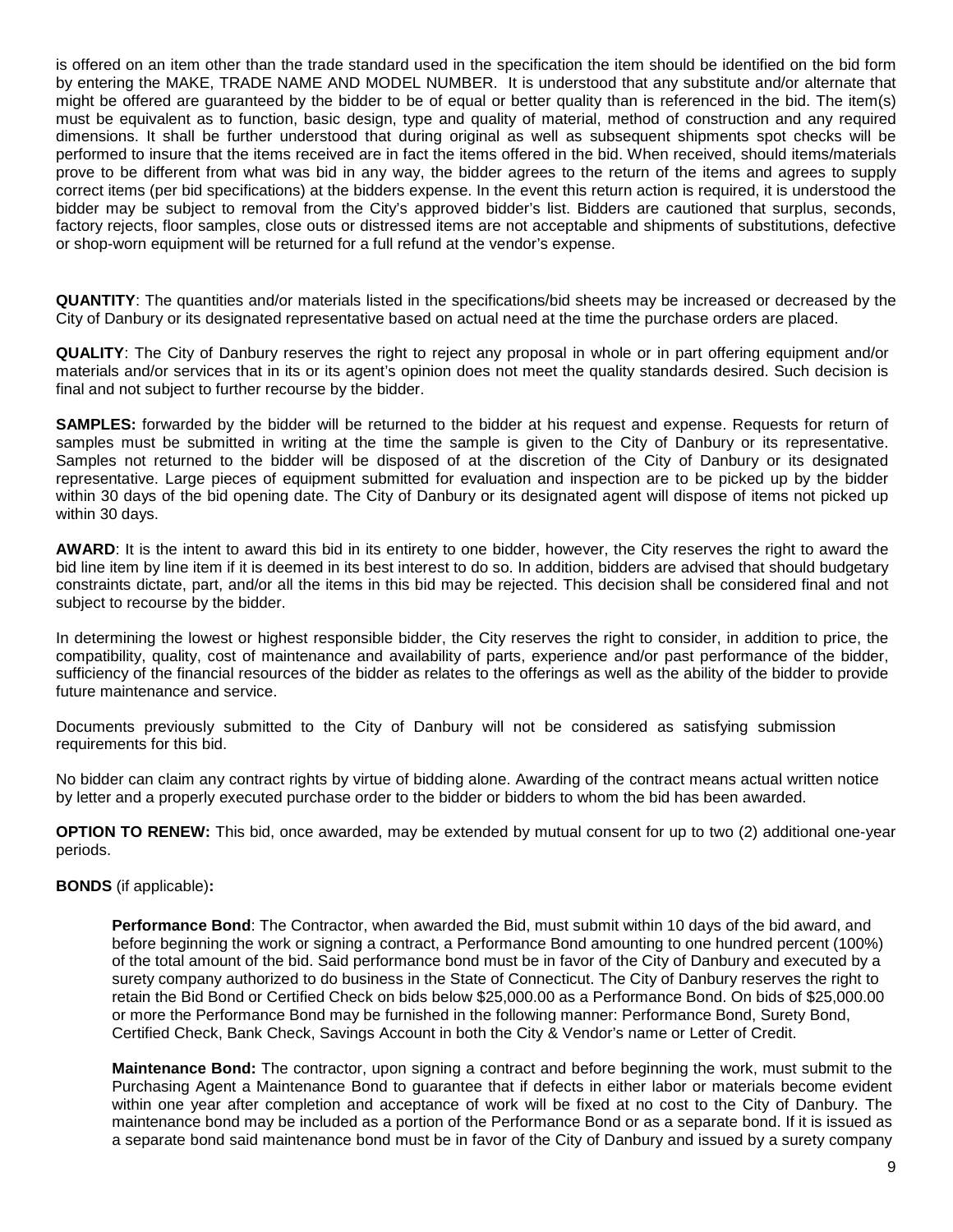is offered on an item other than the trade standard used in the specification the item should be identified on the bid form by entering the MAKE, TRADE NAME AND MODEL NUMBER. It is understood that any substitute and/or alternate that might be offered are guaranteed by the bidder to be of equal or better quality than is referenced in the bid. The item(s) must be equivalent as to function, basic design, type and quality of material, method of construction and any required dimensions. It shall be further understood that during original as well as subsequent shipments spot checks will be performed to insure that the items received are in fact the items offered in the bid. When received, should items/materials prove to be different from what was bid in any way, the bidder agrees to the return of the items and agrees to supply correct items (per bid specifications) at the bidders expense. In the event this return action is required, it is understood the bidder may be subject to removal from the City's approved bidder's list. Bidders are cautioned that surplus, seconds, factory rejects, floor samples, close outs or distressed items are not acceptable and shipments of substitutions, defective or shop-worn equipment will be returned for a full refund at the vendor's expense.

**QUANTITY**: The quantities and/or materials listed in the specifications/bid sheets may be increased or decreased by the City of Danbury or its designated representative based on actual need at the time the purchase orders are placed.

**QUALITY**: The City of Danbury reserves the right to reject any proposal in whole or in part offering equipment and/or materials and/or services that in its or its agent's opinion does not meet the quality standards desired. Such decision is final and not subject to further recourse by the bidder.

**SAMPLES:** forwarded by the bidder will be returned to the bidder at his request and expense. Requests for return of samples must be submitted in writing at the time the sample is given to the City of Danbury or its representative. Samples not returned to the bidder will be disposed of at the discretion of the City of Danbury or its designated representative. Large pieces of equipment submitted for evaluation and inspection are to be picked up by the bidder within 30 days of the bid opening date. The City of Danbury or its designated agent will dispose of items not picked up within 30 days.

**AWARD**: It is the intent to award this bid in its entirety to one bidder, however, the City reserves the right to award the bid line item by line item if it is deemed in its best interest to do so. In addition, bidders are advised that should budgetary constraints dictate, part, and/or all the items in this bid may be rejected. This decision shall be considered final and not subject to recourse by the bidder.

In determining the lowest or highest responsible bidder, the City reserves the right to consider, in addition to price, the compatibility, quality, cost of maintenance and availability of parts, experience and/or past performance of the bidder, sufficiency of the financial resources of the bidder as relates to the offerings as well as the ability of the bidder to provide future maintenance and service.

Documents previously submitted to the City of Danbury will not be considered as satisfying submission requirements for this bid.

No bidder can claim any contract rights by virtue of bidding alone. Awarding of the contract means actual written notice by letter and a properly executed purchase order to the bidder or bidders to whom the bid has been awarded.

**OPTION TO RENEW:** This bid, once awarded, may be extended by mutual consent for up to two (2) additional one-year periods.

## **BONDS** (if applicable)**:**

**Performance Bond**: The Contractor, when awarded the Bid, must submit within 10 days of the bid award, and before beginning the work or signing a contract, a Performance Bond amounting to one hundred percent (100%) of the total amount of the bid. Said performance bond must be in favor of the City of Danbury and executed by a surety company authorized to do business in the State of Connecticut. The City of Danbury reserves the right to retain the Bid Bond or Certified Check on bids below \$25,000.00 as a Performance Bond. On bids of \$25,000.00 or more the Performance Bond may be furnished in the following manner: Performance Bond, Surety Bond, Certified Check, Bank Check, Savings Account in both the City & Vendor's name or Letter of Credit.

**Maintenance Bond:** The contractor, upon signing a contract and before beginning the work, must submit to the Purchasing Agent a Maintenance Bond to guarantee that if defects in either labor or materials become evident within one year after completion and acceptance of work will be fixed at no cost to the City of Danbury. The maintenance bond may be included as a portion of the Performance Bond or as a separate bond. If it is issued as a separate bond said maintenance bond must be in favor of the City of Danbury and issued by a surety company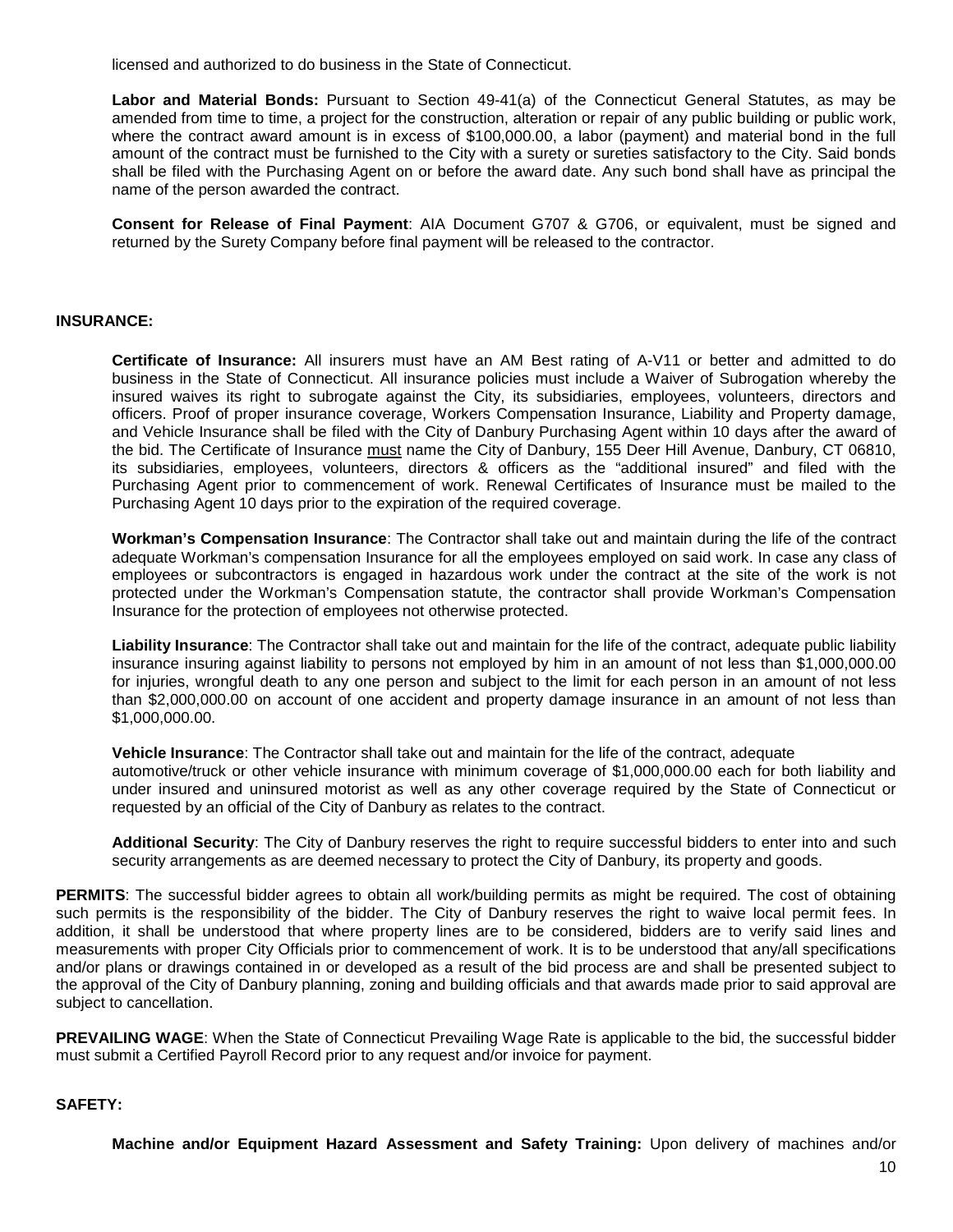licensed and authorized to do business in the State of Connecticut.

**Labor and Material Bonds:** Pursuant to Section 49-41(a) of the Connecticut General Statutes, as may be amended from time to time, a project for the construction, alteration or repair of any public building or public work, where the contract award amount is in excess of \$100,000.00, a labor (payment) and material bond in the full amount of the contract must be furnished to the City with a surety or sureties satisfactory to the City. Said bonds shall be filed with the Purchasing Agent on or before the award date. Any such bond shall have as principal the name of the person awarded the contract.

**Consent for Release of Final Payment**: AIA Document G707 & G706, or equivalent, must be signed and returned by the Surety Company before final payment will be released to the contractor.

## **INSURANCE:**

**Certificate of Insurance:** All insurers must have an AM Best rating of A-V11 or better and admitted to do business in the State of Connecticut. All insurance policies must include a Waiver of Subrogation whereby the insured waives its right to subrogate against the City, its subsidiaries, employees, volunteers, directors and officers. Proof of proper insurance coverage, Workers Compensation Insurance, Liability and Property damage, and Vehicle Insurance shall be filed with the City of Danbury Purchasing Agent within 10 days after the award of the bid. The Certificate of Insurance must name the City of Danbury, 155 Deer Hill Avenue, Danbury, CT 06810, its subsidiaries, employees, volunteers, directors & officers as the "additional insured" and filed with the Purchasing Agent prior to commencement of work. Renewal Certificates of Insurance must be mailed to the Purchasing Agent 10 days prior to the expiration of the required coverage.

**Workman's Compensation Insurance**: The Contractor shall take out and maintain during the life of the contract adequate Workman's compensation Insurance for all the employees employed on said work. In case any class of employees or subcontractors is engaged in hazardous work under the contract at the site of the work is not protected under the Workman's Compensation statute, the contractor shall provide Workman's Compensation Insurance for the protection of employees not otherwise protected.

**Liability Insurance**: The Contractor shall take out and maintain for the life of the contract, adequate public liability insurance insuring against liability to persons not employed by him in an amount of not less than \$1,000,000.00 for injuries, wrongful death to any one person and subject to the limit for each person in an amount of not less than \$2,000,000.00 on account of one accident and property damage insurance in an amount of not less than \$1,000,000.00.

**Vehicle Insurance**: The Contractor shall take out and maintain for the life of the contract, adequate automotive/truck or other vehicle insurance with minimum coverage of \$1,000,000.00 each for both liability and under insured and uninsured motorist as well as any other coverage required by the State of Connecticut or requested by an official of the City of Danbury as relates to the contract.

**Additional Security**: The City of Danbury reserves the right to require successful bidders to enter into and such security arrangements as are deemed necessary to protect the City of Danbury, its property and goods.

**PERMITS**: The successful bidder agrees to obtain all work/building permits as might be required. The cost of obtaining such permits is the responsibility of the bidder. The City of Danbury reserves the right to waive local permit fees. In addition, it shall be understood that where property lines are to be considered, bidders are to verify said lines and measurements with proper City Officials prior to commencement of work. It is to be understood that any/all specifications and/or plans or drawings contained in or developed as a result of the bid process are and shall be presented subject to the approval of the City of Danbury planning, zoning and building officials and that awards made prior to said approval are subject to cancellation.

**PREVAILING WAGE**: When the State of Connecticut Prevailing Wage Rate is applicable to the bid, the successful bidder must submit a Certified Payroll Record prior to any request and/or invoice for payment.

## **SAFETY:**

**Machine and/or Equipment Hazard Assessment and Safety Training:** Upon delivery of machines and/or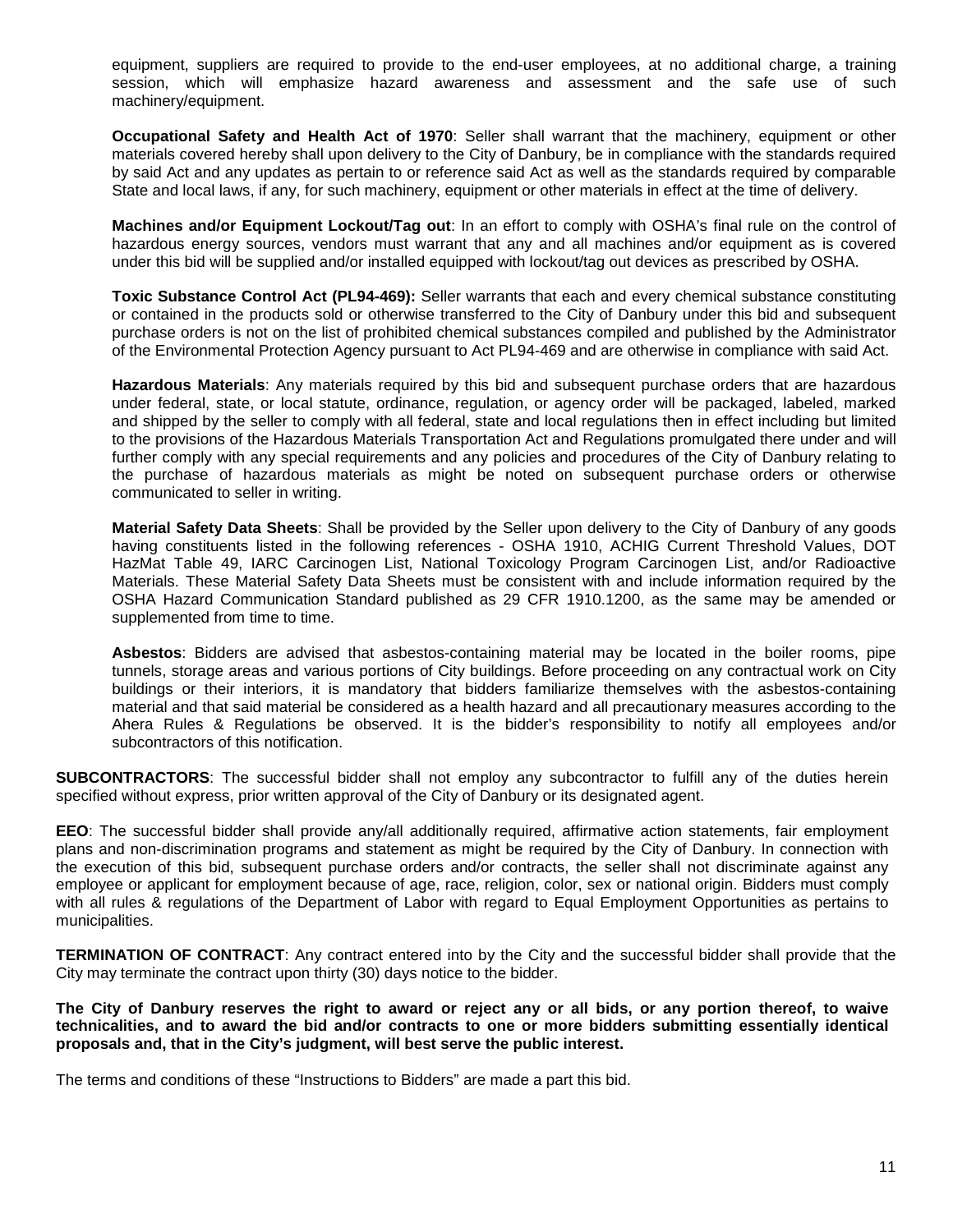equipment, suppliers are required to provide to the end-user employees, at no additional charge, a training session, which will emphasize hazard awareness and assessment and the safe use of such machinery/equipment.

**Occupational Safety and Health Act of 1970**: Seller shall warrant that the machinery, equipment or other materials covered hereby shall upon delivery to the City of Danbury, be in compliance with the standards required by said Act and any updates as pertain to or reference said Act as well as the standards required by comparable State and local laws, if any, for such machinery, equipment or other materials in effect at the time of delivery.

**Machines and/or Equipment Lockout/Tag out**: In an effort to comply with OSHA's final rule on the control of hazardous energy sources, vendors must warrant that any and all machines and/or equipment as is covered under this bid will be supplied and/or installed equipped with lockout/tag out devices as prescribed by OSHA.

**Toxic Substance Control Act (PL94-469):** Seller warrants that each and every chemical substance constituting or contained in the products sold or otherwise transferred to the City of Danbury under this bid and subsequent purchase orders is not on the list of prohibited chemical substances compiled and published by the Administrator of the Environmental Protection Agency pursuant to Act PL94-469 and are otherwise in compliance with said Act.

**Hazardous Materials**: Any materials required by this bid and subsequent purchase orders that are hazardous under federal, state, or local statute, ordinance, regulation, or agency order will be packaged, labeled, marked and shipped by the seller to comply with all federal, state and local regulations then in effect including but limited to the provisions of the Hazardous Materials Transportation Act and Regulations promulgated there under and will further comply with any special requirements and any policies and procedures of the City of Danbury relating to the purchase of hazardous materials as might be noted on subsequent purchase orders or otherwise communicated to seller in writing.

**Material Safety Data Sheets**: Shall be provided by the Seller upon delivery to the City of Danbury of any goods having constituents listed in the following references - OSHA 1910, ACHIG Current Threshold Values, DOT HazMat Table 49, IARC Carcinogen List, National Toxicology Program Carcinogen List, and/or Radioactive Materials. These Material Safety Data Sheets must be consistent with and include information required by the OSHA Hazard Communication Standard published as 29 CFR 1910.1200, as the same may be amended or supplemented from time to time.

**Asbestos**: Bidders are advised that asbestos-containing material may be located in the boiler rooms, pipe tunnels, storage areas and various portions of City buildings. Before proceeding on any contractual work on City buildings or their interiors, it is mandatory that bidders familiarize themselves with the asbestos-containing material and that said material be considered as a health hazard and all precautionary measures according to the Ahera Rules & Regulations be observed. It is the bidder's responsibility to notify all employees and/or subcontractors of this notification.

**SUBCONTRACTORS**: The successful bidder shall not employ any subcontractor to fulfill any of the duties herein specified without express, prior written approval of the City of Danbury or its designated agent.

**EEO**: The successful bidder shall provide any/all additionally required, affirmative action statements, fair employment plans and non-discrimination programs and statement as might be required by the City of Danbury. In connection with the execution of this bid, subsequent purchase orders and/or contracts, the seller shall not discriminate against any employee or applicant for employment because of age, race, religion, color, sex or national origin. Bidders must comply with all rules & regulations of the Department of Labor with regard to Equal Employment Opportunities as pertains to municipalities.

**TERMINATION OF CONTRACT**: Any contract entered into by the City and the successful bidder shall provide that the City may terminate the contract upon thirty (30) days notice to the bidder.

**The City of Danbury reserves the right to award or reject any or all bids, or any portion thereof, to waive technicalities, and to award the bid and/or contracts to one or more bidders submitting essentially identical proposals and, that in the City's judgment, will best serve the public interest.** 

The terms and conditions of these "Instructions to Bidders" are made a part this bid.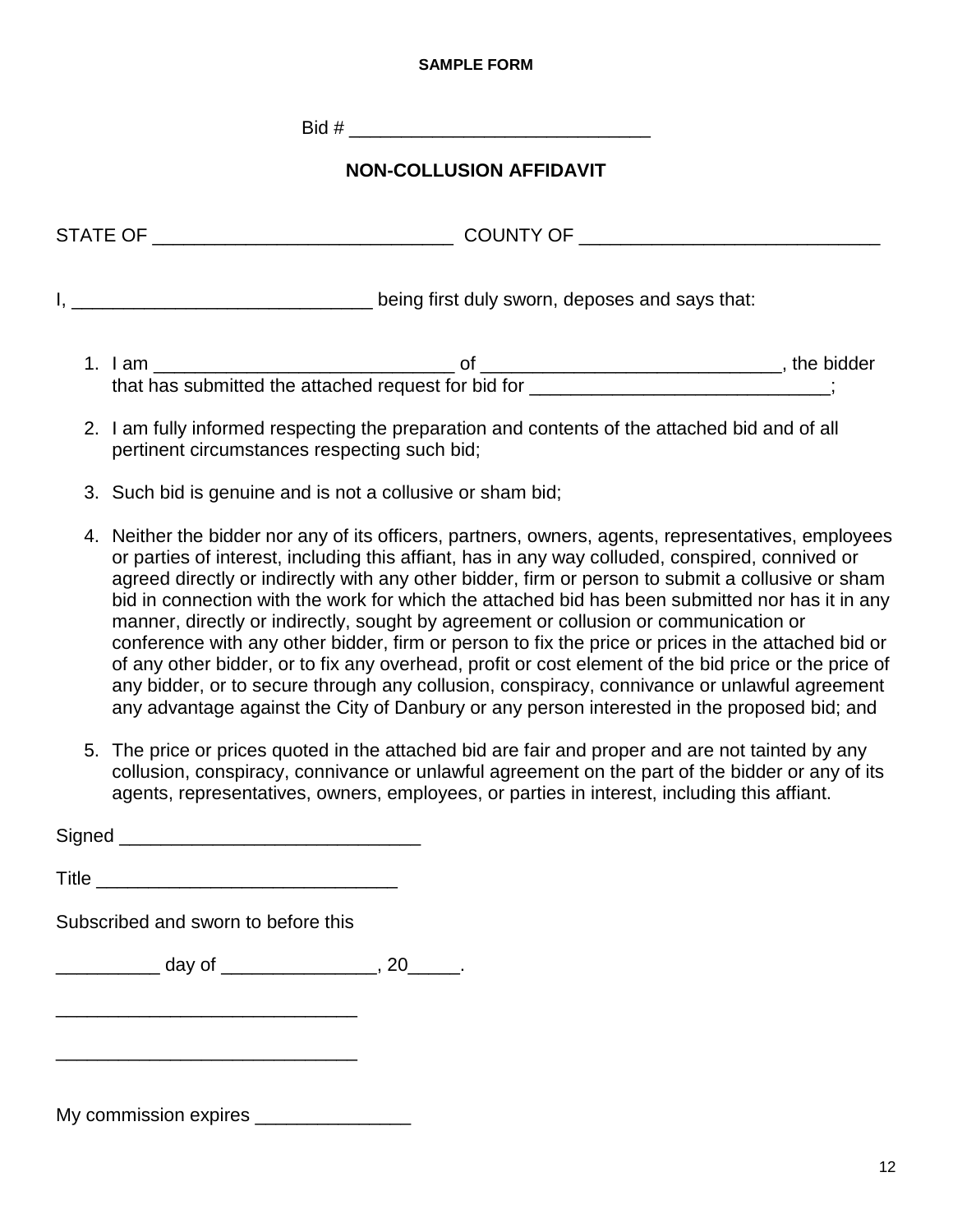## **SAMPLE FORM**

 $\text{Bid } \#$ 

# **NON-COLLUSION AFFIDAVIT**

|                                                                                                                                               | being first duly sworn, deposes and says that: |  |  |  |  |
|-----------------------------------------------------------------------------------------------------------------------------------------------|------------------------------------------------|--|--|--|--|
| that has submitted the attached request for bid for __________________________;                                                               |                                                |  |  |  |  |
| 2. I am fully informed respecting the preparation and contents of the attached bid and of all<br>pertinent circumstances respecting such bid; |                                                |  |  |  |  |
| 3. Such bid is genuine and is not a collusive or sham bid;                                                                                    |                                                |  |  |  |  |

- 4. Neither the bidder nor any of its officers, partners, owners, agents, representatives, employees or parties of interest, including this affiant, has in any way colluded, conspired, connived or agreed directly or indirectly with any other bidder, firm or person to submit a collusive or sham bid in connection with the work for which the attached bid has been submitted nor has it in any manner, directly or indirectly, sought by agreement or collusion or communication or conference with any other bidder, firm or person to fix the price or prices in the attached bid or of any other bidder, or to fix any overhead, profit or cost element of the bid price or the price of any bidder, or to secure through any collusion, conspiracy, connivance or unlawful agreement any advantage against the City of Danbury or any person interested in the proposed bid; and
- 5. The price or prices quoted in the attached bid are fair and proper and are not tainted by any collusion, conspiracy, connivance or unlawful agreement on the part of the bidder or any of its agents, representatives, owners, employees, or parties in interest, including this affiant.

Signed **and all the set of the set of the set of the set of the set of the set of the set of the set of the set of the set of the set of the set of the set of the set of the set of the set of the set of the set of the set**  $\blacksquare$  Title Subscribed and sworn to before this  $\frac{1}{2}$  day of  $\frac{1}{2}$ , 20 \_\_\_\_\_\_\_\_\_\_\_\_\_\_\_\_\_\_\_\_\_\_\_\_\_\_\_\_\_

My commission expires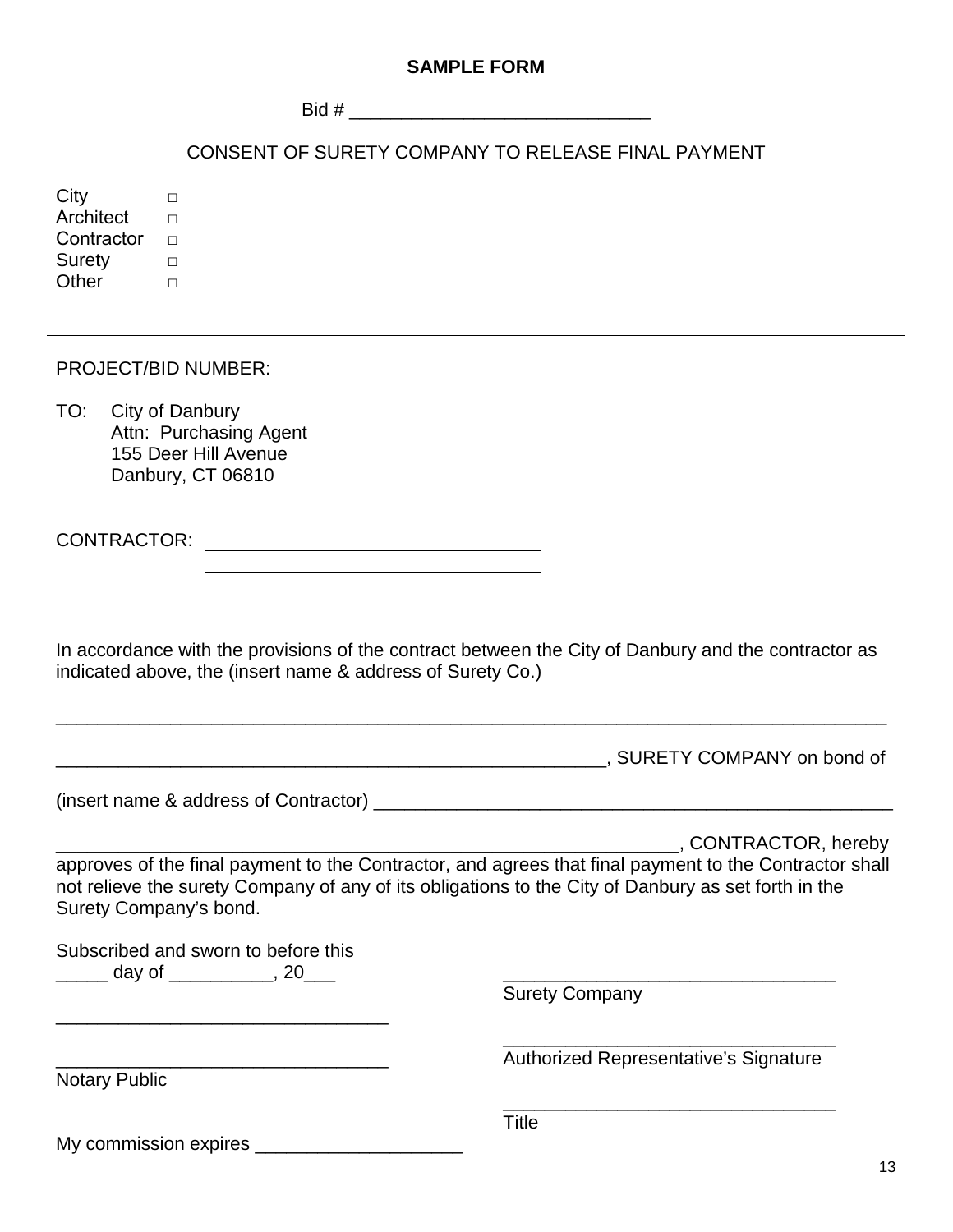# **SAMPLE FORM**

 $\text{Bid } \#$ 

# CONSENT OF SURETY COMPANY TO RELEASE FINAL PAYMENT

City □ Architect  $□$ Contractor  $□$ Surety □ Other □

PROJECT/BID NUMBER:

TO: City of Danbury Attn: Purchasing Agent 155 Deer Hill Avenue Danbury, CT 06810

CONTRACTOR:

In accordance with the provisions of the contract between the City of Danbury and the contractor as indicated above, the (insert name & address of Surety Co.)

\_\_\_\_\_\_\_\_\_\_\_\_\_\_\_\_\_\_\_\_\_\_\_\_\_\_\_\_\_\_\_\_\_\_\_\_\_\_\_\_\_\_\_\_\_\_\_\_\_\_\_\_\_\_\_\_\_\_\_\_\_\_\_\_\_\_\_\_\_\_\_\_\_\_\_\_\_\_\_\_

\_\_\_\_\_\_\_\_\_\_\_\_\_\_\_\_\_\_\_\_\_\_\_\_\_\_\_\_\_\_\_\_\_\_\_\_\_\_\_\_\_\_\_\_\_\_\_\_\_\_\_\_\_, SURETY COMPANY on bond of

(insert name & address of Contractor) \_\_\_\_\_\_\_\_\_\_\_\_\_\_\_\_\_\_\_\_\_\_\_\_\_\_\_\_\_\_\_\_\_\_\_\_\_\_\_\_\_\_\_\_\_\_\_\_\_\_

\_\_\_\_\_\_\_\_\_\_\_\_\_\_\_\_\_\_\_\_\_\_\_\_\_\_\_\_\_\_\_\_\_\_\_\_\_\_\_\_\_\_\_\_\_\_\_\_\_\_\_\_\_\_\_\_\_\_\_\_, CONTRACTOR, hereby approves of the final payment to the Contractor, and agrees that final payment to the Contractor shall not relieve the surety Company of any of its obligations to the City of Danbury as set forth in the Surety Company's bond.

Subscribed and sworn to before this \_\_\_\_\_ day of \_\_\_\_\_\_\_\_\_\_, 20\_\_\_ \_\_\_\_\_\_\_\_\_\_\_\_\_\_\_\_\_\_\_\_\_\_\_\_\_\_\_\_\_\_\_\_

\_\_\_\_\_\_\_\_\_\_\_\_\_\_\_\_\_\_\_\_\_\_\_\_\_\_\_\_\_\_\_\_

My commission expires **we allow that** 

Surety Company

Notary Public

\_\_\_\_\_\_\_\_\_\_\_\_\_\_\_\_\_\_\_\_\_\_\_\_\_\_\_\_\_\_\_\_ Authorized Representative's Signature

\_\_\_\_\_\_\_\_\_\_\_\_\_\_\_\_\_\_\_\_\_\_\_\_\_\_\_\_\_\_\_\_

Title